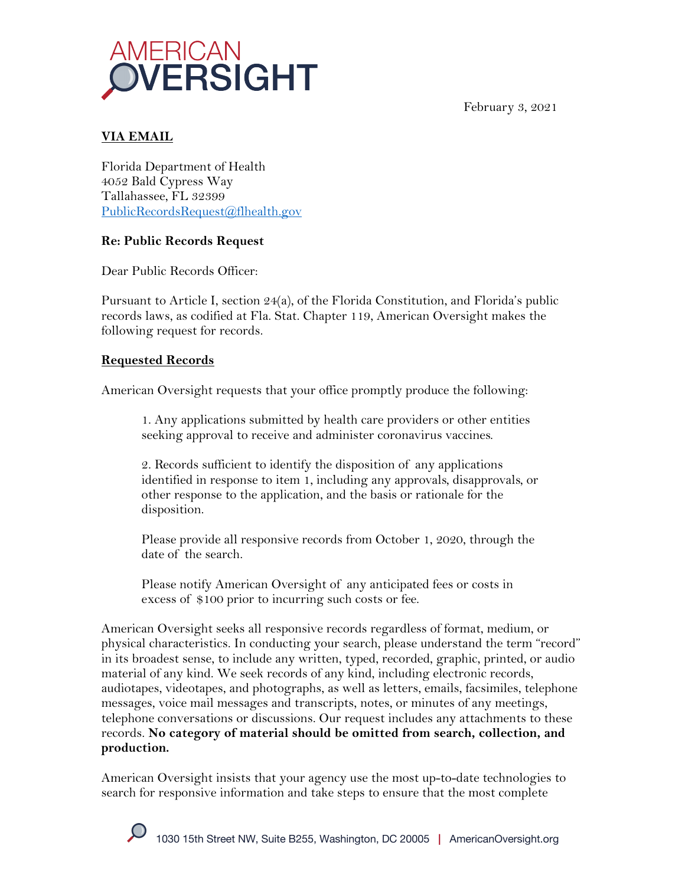



## **VIA EMAIL**

Florida Department of Health 4052 Bald Cypress Way Tallahassee, FL 32399 PublicRecordsRequest@flhealth.gov

## **Re: Public Records Request**

Dear Public Records Officer:

Pursuant to Article I, section 24(a), of the Florida Constitution, and Florida's public records laws, as codified at Fla. Stat. Chapter 119, American Oversight makes the following request for records.

## **Requested Records**

American Oversight requests that your office promptly produce the following:

1. Any applications submitted by health care providers or other entities seeking approval to receive and administer coronavirus vaccines.

2. Records sufficient to identify the disposition of any applications identified in response to item 1, including any approvals, disapprovals, or other response to the application, and the basis or rationale for the disposition.

Please provide all responsive records from October 1, 2020, through the date of the search.

Please notify American Oversight of any anticipated fees or costs in excess of \$100 prior to incurring such costs or fee.

American Oversight seeks all responsive records regardless of format, medium, or physical characteristics. In conducting your search, please understand the term "record" in its broadest sense, to include any written, typed, recorded, graphic, printed, or audio material of any kind. We seek records of any kind, including electronic records, audiotapes, videotapes, and photographs, as well as letters, emails, facsimiles, telephone messages, voice mail messages and transcripts, notes, or minutes of any meetings, telephone conversations or discussions. Our request includes any attachments to these records. **No category of material should be omitted from search, collection, and production.**

American Oversight insists that your agency use the most up-to-date technologies to search for responsive information and take steps to ensure that the most complete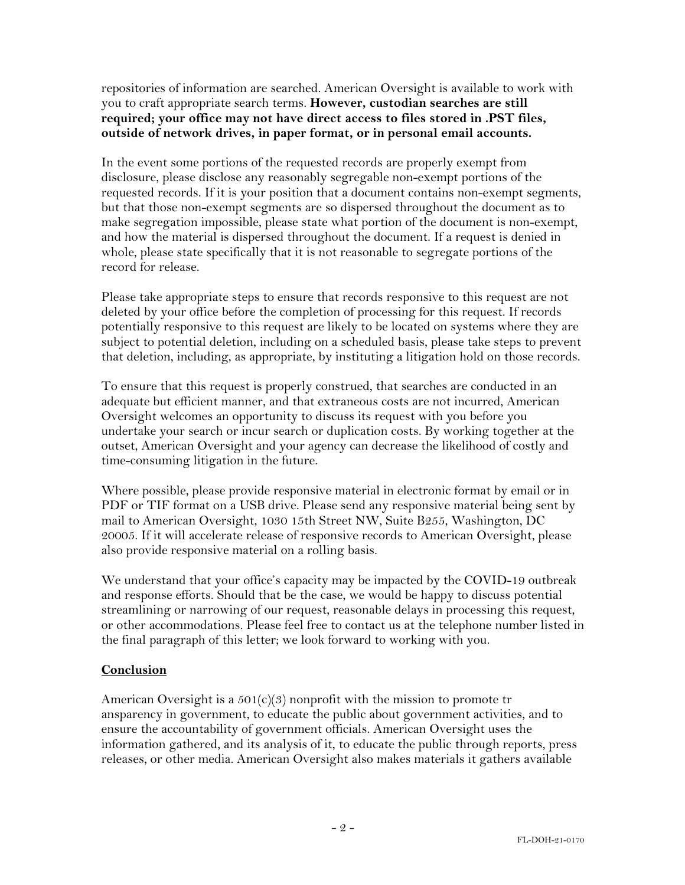repositories of information are searched. American Oversight is available to work with you to craft appropriate search terms. **However, custodian searches are still required; your office may not have direct access to files stored in .PST files, outside of network drives, in paper format, or in personal email accounts.**

In the event some portions of the requested records are properly exempt from disclosure, please disclose any reasonably segregable non-exempt portions of the requested records. If it is your position that a document contains non-exempt segments, but that those non-exempt segments are so dispersed throughout the document as to make segregation impossible, please state what portion of the document is non-exempt, and how the material is dispersed throughout the document. If a request is denied in whole, please state specifically that it is not reasonable to segregate portions of the record for release.

Please take appropriate steps to ensure that records responsive to this request are not deleted by your office before the completion of processing for this request. If records potentially responsive to this request are likely to be located on systems where they are subject to potential deletion, including on a scheduled basis, please take steps to prevent that deletion, including, as appropriate, by instituting a litigation hold on those records.

To ensure that this request is properly construed, that searches are conducted in an adequate but efficient manner, and that extraneous costs are not incurred, American Oversight welcomes an opportunity to discuss its request with you before you undertake your search or incur search or duplication costs. By working together at the outset, American Oversight and your agency can decrease the likelihood of costly and time-consuming litigation in the future.

Where possible, please provide responsive material in electronic format by email or in PDF or TIF format on a USB drive. Please send any responsive material being sent by mail to American Oversight, 1030 15th Street NW, Suite B255, Washington, DC 20005. If it will accelerate release of responsive records to American Oversight, please also provide responsive material on a rolling basis.

We understand that your office's capacity may be impacted by the COVID-19 outbreak and response efforts. Should that be the case, we would be happy to discuss potential streamlining or narrowing of our request, reasonable delays in processing this request, or other accommodations. Please feel free to contact us at the telephone number listed in the final paragraph of this letter; we look forward to working with you.

## **Conclusion**

American Oversight is a  $501(c)(3)$  nonprofit with the mission to promote tr ansparency in government, to educate the public about government activities, and to ensure the accountability of government officials. American Oversight uses the information gathered, and its analysis of it, to educate the public through reports, press releases, or other media. American Oversight also makes materials it gathers available